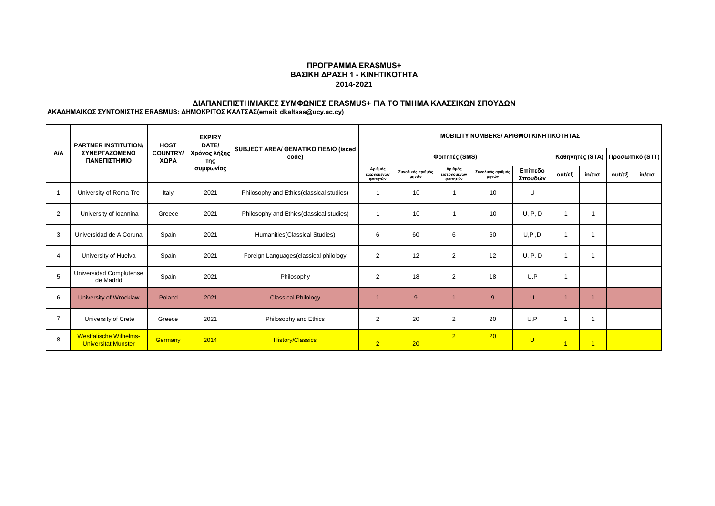## **ΠΡΟΓΡΑΜΜΑ ERASMUS+ ΒΑΣΙΚΗ ΔΡΑΣΗ 1 - ΚΙΝΗΤΙΚΟΤΗΤΑ 2014-2021**

# **ΔΙΑΠΑΝΕΠΙΣΤΗΜΙΑΚΕΣ ΣΥΜΦΩΝΙΕΣ ERASMUS+ ΓΙΑ ΤΟ ΤΜΗΜΑ ΚΛΑΣΣΙΚΩΝ ΣΠΟΥΔΩΝ**

**ΑΚΑΔΗΜΑΙΚΟΣ ΣΥΝΤΟΝΙΣΤΗΣ ERASMUS: ΔΗΜΟΚΡΙΤΟΣ ΚΑΛΤΣΑΣ(email: dkaltsas@ucy.ac.cy)**

|                | <b>PARTNER INSTITUTION/</b><br><b>ΣΥΝΕΡΓΑΖΟΜΕΝΟ</b><br>ΠΑΝΕΠΙΣΤΗΜΙΟ | <b>HOST</b><br><b>COUNTRY/</b><br>XΩPA | <b>EXPIRY</b><br>DATE/<br>Χρόνος λήξης<br>της<br>συμφωνίας | SUBJECT AREA/ GEMATIKO ΠΕΔΙΟ (isced<br>code) | <b>MOBILITY NUMBERS/ APIOMOI KINHTIKOTHTAZ</b> |                            |                                     |                            |                    |                      |                   |                                   |                   |
|----------------|---------------------------------------------------------------------|----------------------------------------|------------------------------------------------------------|----------------------------------------------|------------------------------------------------|----------------------------|-------------------------------------|----------------------------|--------------------|----------------------|-------------------|-----------------------------------|-------------------|
| <b>A/A</b>     |                                                                     |                                        |                                                            |                                              | Φοιτητές (SMS)                                 |                            |                                     |                            |                    |                      |                   | Καθηγητές (STA)   Προσωπικό (STT) |                   |
|                |                                                                     |                                        |                                                            |                                              | Αριθμός<br>εξερχόμενων<br>φοιτητών             | Συνολικός αριθμός<br>μηνών | Αριθμός<br>εισερχόμενων<br>φοιτητών | Συνολικός αριθμός<br>μηνών | Επίπεδο<br>Σπουδών | out/εξ.              | $in/\epsilon$ ισ. | out/εξ.                           | $in/\epsilon$ ισ. |
|                | University of Roma Tre                                              | Italy                                  | 2021                                                       | Philosophy and Ethics (classical studies)    |                                                | 10                         |                                     | 10                         | U                  |                      |                   |                                   |                   |
| $\overline{2}$ | University of Ioannina                                              | Greece                                 | 2021                                                       | Philosophy and Ethics (classical studies)    |                                                | 10                         |                                     | 10                         | U, P, D            |                      |                   |                                   |                   |
| 3              | Universidad de A Coruna                                             | Spain                                  | 2021                                                       | Humanities (Classical Studies)               | 6                                              | 60                         | 6                                   | 60                         | U, P, D            |                      |                   |                                   |                   |
| Δ              | University of Huelva                                                | Spain                                  | 2021                                                       | Foreign Languages (classical philology       | 2                                              | 12                         | $\overline{2}$                      | 12                         | U, P, D            |                      |                   |                                   |                   |
| 5              | Universidad Complutense<br>de Madrid                                | Spain                                  | 2021                                                       | Philosophy                                   | $\overline{2}$                                 | 18                         | 2                                   | 18                         | U.P                | 1                    |                   |                                   |                   |
| 6              | University of Wrocklaw                                              | Poland                                 | 2021                                                       | <b>Classical Philology</b>                   |                                                | 9                          |                                     | 9                          | U                  |                      |                   |                                   |                   |
|                | University of Crete                                                 | Greece                                 | 2021                                                       | Philosophy and Ethics                        | $\overline{2}$                                 | 20                         | $\overline{2}$                      | 20                         | U.P                |                      |                   |                                   |                   |
| 8              | <b>Westfalische Wilhelms-</b><br><b>Universitat Munster</b>         | Germany                                | 2014                                                       | <b>History/Classics</b>                      | $\overline{2}$                                 | 20                         | $\overline{2}$                      | 20                         | U                  | $\blacktriangleleft$ | $\overline{1}$    |                                   |                   |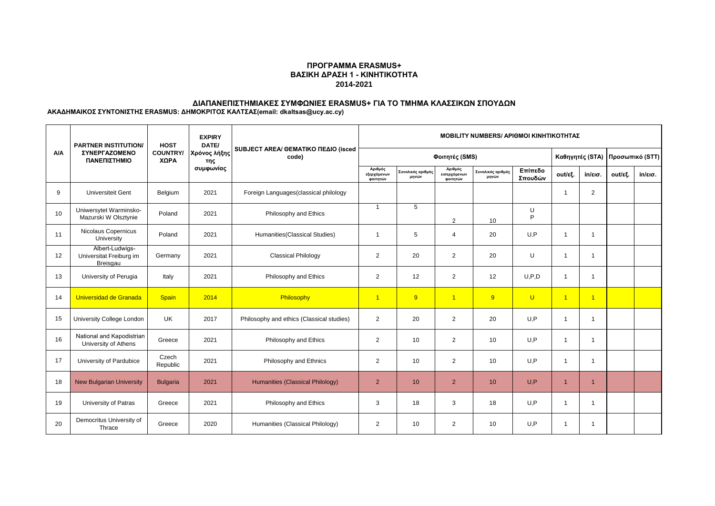## **ΠΡΟΓΡΑΜΜΑ ERASMUS+ ΒΑΣΙΚΗ ΔΡΑΣΗ 1 - ΚΙΝΗΤΙΚΟΤΗΤΑ 2014-2021**

# **ΔΙΑΠΑΝΕΠΙΣΤΗΜΙΑΚΕΣ ΣΥΜΦΩΝΙΕΣ ERASMUS+ ΓΙΑ ΤΟ ΤΜΗΜΑ ΚΛΑΣΣΙΚΩΝ ΣΠΟΥΔΩΝ**

**ΑΚΑΔΗΜΑΙΚΟΣ ΣΥΝΤΟΝΙΣΤΗΣ ERASMUS: ΔΗΜΟΚΡΙΤΟΣ ΚΑΛΤΣΑΣ(email: dkaltsas@ucy.ac.cy)**

| <b>A/A</b> | <b>PARTNER INSTITUTION/</b><br><b>ΣΥΝΕΡΓΑΖΟΜΕΝΟ</b><br>ΠΑΝΕΠΙΣΤΗΜΙΟ | <b>HOST</b><br><b>COUNTRY/</b><br>ΧΩΡΑ | <b>EXPIRY</b><br>DATE/<br>Χρόνος λήξης<br>της<br>συμφωνίας | SUBJECT AREA/ GEMATIKO ΠΕΔΙΟ (isced<br>code) | <b>MOBILITY NUMBERS/ APIOMOI KINHTIKOTHTAZ</b> |                            |                                     |                            |                    |                |                         |                                 |                   |
|------------|---------------------------------------------------------------------|----------------------------------------|------------------------------------------------------------|----------------------------------------------|------------------------------------------------|----------------------------|-------------------------------------|----------------------------|--------------------|----------------|-------------------------|---------------------------------|-------------------|
|            |                                                                     |                                        |                                                            |                                              | Φοιτητές (SMS)                                 |                            |                                     |                            |                    |                |                         | Καθηγητές (STA) Προσωπικό (STT) |                   |
|            |                                                                     |                                        |                                                            |                                              | Αριθμός<br>εξερχόμενων<br>φοιτητών             | Συνολικός αριθμός<br>μηνών | Αριθμός<br>εισερχόμενων<br>φοιτητών | Συνολικός αριθμός<br>μηνών | Επίπεδο<br>Σπουδών | out/εξ.        | $in/\epsilon$ ισ.       | out/εξ.                         | $in/\epsilon$ ισ. |
| 9          | <b>Universiteit Gent</b>                                            | Belgium                                | 2021                                                       | Foreign Languages (classical philology       |                                                |                            |                                     |                            |                    | -1             | $\overline{2}$          |                                 |                   |
| 10         | Uniwersytet Warminsko-<br>Mazurski W Olsztynie                      | Poland                                 | 2021                                                       | Philosophy and Ethics                        | $\overline{1}$                                 | 5                          | $\overline{2}$                      | 10                         | U<br>P             |                |                         |                                 |                   |
| 11         | Nicolaus Copernicus<br>University                                   | Poland                                 | 2021                                                       | Humanities (Classical Studies)               | $\overline{1}$                                 | 5                          | $\overline{4}$                      | 20                         | U.P                | $\mathbf 1$    | -1                      |                                 |                   |
| 12         | Albert-Ludwigs-<br>Universitat Freiburg im<br>Breisgau              | Germany                                | 2021                                                       | <b>Classical Philology</b>                   | 2                                              | 20                         | $\overline{2}$                      | 20                         | U                  | $\mathbf{1}$   | $\overline{\mathbf{1}}$ |                                 |                   |
| 13         | University of Perugia                                               | Italy                                  | 2021                                                       | Philosophy and Ethics                        | $\overline{2}$                                 | 12                         | $\overline{2}$                      | 12                         | U.P.D              | $\overline{1}$ | -1                      |                                 |                   |
| 14         | Universidad de Granada                                              | <b>Spain</b>                           | 2014                                                       | Philosophy                                   | $\overline{1}$                                 | 9                          | $\overline{1}$                      | 9                          | $\cup$             | $\overline{1}$ | $\overline{1}$          |                                 |                   |
| 15         | University College London                                           | <b>UK</b>                              | 2017                                                       | Philosophy and ethics (Classical studies)    | $\overline{2}$                                 | 20                         | $\overline{2}$                      | 20                         | U.P                | $\overline{1}$ | -1                      |                                 |                   |
| 16         | National and Kapodistrian<br>University of Athens                   | Greece                                 | 2021                                                       | Philosophy and Ethics                        | $\overline{2}$                                 | 10                         | $\overline{2}$                      | 10                         | U, P               | $\overline{1}$ | $\overline{1}$          |                                 |                   |
| 17         | University of Pardubice                                             | Czech<br>Republic                      | 2021                                                       | Philosophy and Ethnics                       | $\overline{2}$                                 | 10                         | $\overline{2}$                      | 10                         | U.P                | $\overline{1}$ | -1                      |                                 |                   |
| 18         | <b>New Bulgarian University</b>                                     | <b>Bulgaria</b>                        | 2021                                                       | Humanities (Classical Philology)             | $\overline{2}$                                 | 10                         | $\overline{2}$                      | 10 <sup>°</sup>            | U.P                | $\overline{1}$ | 1                       |                                 |                   |
| 19         | University of Patras                                                | Greece                                 | 2021                                                       | Philosophy and Ethics                        | 3                                              | 18                         | 3                                   | 18                         | U.P                | -1             |                         |                                 |                   |
| 20         | Democritus University of<br>Thrace                                  | Greece                                 | 2020                                                       | Humanities (Classical Philology)             | 2                                              | 10                         | $\overline{2}$                      | 10                         | U.P                | -1             |                         |                                 |                   |